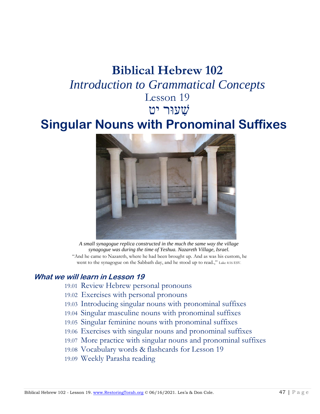# **Biblical Hebrew 102** *Introduction to Grammatical Concepts* Lesson 19 שׁ ִעוּר יטִ

# **Singular Nouns with Pronominal Suffixes**



*A small synagogue replica constructed in the much the same way the village synagogue was during the time of Yeshua. Nazareth Village, Israel.* "And he came to Nazareth, where he had been brought up. And as was his custom, he

went to the synagogue on the Sabbath day, and he stood up to read.," Luke 4:16 ESV.

#### **What we will learn in Lesson 19**

- 19.01 Review Hebrew personal pronouns
- 19.02 Exercises with personal pronouns
- 19.03 Introducing singular nouns with pronominal suffixes
- 19.04 Singular masculine nouns with pronominal suffixes
- 19.05 Singular feminine nouns with pronominal suffixes
- 19.06 Exercises with singular nouns and pronominal suffixes
- 19.07 More practice with singular nouns and pronominal suffixes
- 19.08 Vocabulary words & flashcards for Lesson 19
- 19.09 Weekly Parasha reading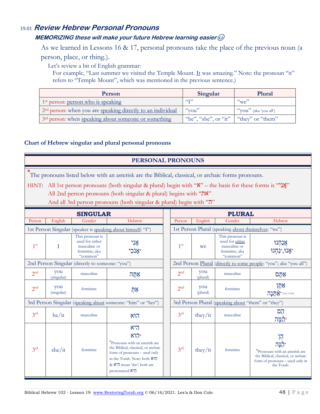### 19.01 **Review Hebrew Personal Pronouns**

#### **MEMORIZING these will make your future Hebrew learning easier**

As we learned in Lessons 16 & 17, personal pronouns take the place of the previous noun (a person, place, or thing.).

Let's review a bit of English grammar:

For example, "Last summer we visited the Temple Mount. It was amazing." Note: the pronoun "it" refers to "Temple Mount", which was mentioned in the previous sentence.)

| Person                                                                         | Singular                                | Plural                               |  |  |
|--------------------------------------------------------------------------------|-----------------------------------------|--------------------------------------|--|--|
| 1 <sup>st</sup> person: <u>person who is speaking</u>                          | C(T)                                    | $\alpha_{\rm W}e$                    |  |  |
| 2 <sup>nd</sup> person: when you are <u>speaking directly to an individual</u> | $\alpha$ vou"                           | $\int^{\alpha}$ you" (aka 'you all') |  |  |
| 3 <sup>rd</sup> person: when <u>speaking about someone or something</u>        | "he", "she", or "it"   "they" or "them" |                                      |  |  |

#### **Chart of Hebrew singular and plural personal pronouns**

#### **PERSONAL PRONOUNS**

**\*** The pronouns listed below with an asterisk are the Biblical, classical, or archaic forms pronouns.

HINT: All 1st person pronouns (both singular & plural) begin with " $\mathbf{X}$ " – the basis for these forms is " $\mathbf{X}$ "

All 2nd person pronouns (both singular & plural) begins with "את"

And all 3rd person pronouns (both singular & plural) begin with "ה"

| <b>SINGULAR</b>                                              |                   |                                                                                 |                                                                                                                                                                                                        |  |                 |                 | <b>PLURAL</b>                                                                   |                                                                                                                                      |
|--------------------------------------------------------------|-------------------|---------------------------------------------------------------------------------|--------------------------------------------------------------------------------------------------------------------------------------------------------------------------------------------------------|--|-----------------|-----------------|---------------------------------------------------------------------------------|--------------------------------------------------------------------------------------------------------------------------------------|
| Person                                                       | English           | Gender                                                                          | Hebrew                                                                                                                                                                                                 |  | Person          | English         | Gender                                                                          | Hebrew                                                                                                                               |
| 1st Person Singular (speaker is speaking about himself: "I") |                   |                                                                                 |                                                                                                                                                                                                        |  |                 |                 | 1st Person Plural (speaking about themselves: "we")                             |                                                                                                                                      |
| 1 <sup>st</sup>                                              | T                 | This pronoun is<br>used for either<br>masculine or<br>feminine; aka<br>"common" | אָנִי                                                                                                                                                                                                  |  | 1 <sup>st</sup> | we              | This pronoun is<br>used for either<br>masculine or<br>feminine; aka<br>"common" | אַנַחִנוּ<br>אָנוּ,*נַחְנוּ*                                                                                                         |
|                                                              |                   | 2nd Person Singular (directly to someone: "you")                                |                                                                                                                                                                                                        |  |                 |                 |                                                                                 | 2nd Person Plural (directly to some people: "you"; aka "you all")                                                                    |
| 2 <sup>nd</sup>                                              | you<br>(singular) | masculine                                                                       | אַהַה $\geq$                                                                                                                                                                                           |  | 2 <sup>nd</sup> | you<br>(plural) | masculine                                                                       | אַתֵּם                                                                                                                               |
| 2 <sup>nd</sup>                                              | you<br>(singular) | feminine                                                                        | ņх                                                                                                                                                                                                     |  | 2 <sup>nd</sup> | you<br>(plural) | feminine                                                                        | אַתָּן<br>$717$ $\&$ (Eze 13:20)                                                                                                     |
|                                                              |                   |                                                                                 | 3rd Person Singular (speaking about someone: "him" or "her")                                                                                                                                           |  |                 |                 | 3rd Person Plural (speaking about "them" or "they")                             |                                                                                                                                      |
| 3 <sup>rd</sup>                                              | he/it             | masculine                                                                       | הוא                                                                                                                                                                                                    |  | 3 <sup>rd</sup> | they/it         | masculine                                                                       | הֲם<br><b>יהמה</b>                                                                                                                   |
| $3^{rd}$                                                     | she/it            | feminine                                                                        | היא<br>$N$ הן<br>*Pronouns with an asterisk are<br>the Biblical, classical, or archaic<br>form of pronouns - used only<br>in the Torah. Note: both XI7<br>& N'7 mean 'she'; both are<br>pronounced N'7 |  | 3 <sup>rd</sup> | they/it         | feminine                                                                        | 帀<br>اعلاء<br>*Pronouns with an asterisk are<br>the Biblical, classical, or archaic<br>form of pronouns - used only in<br>the Torah. |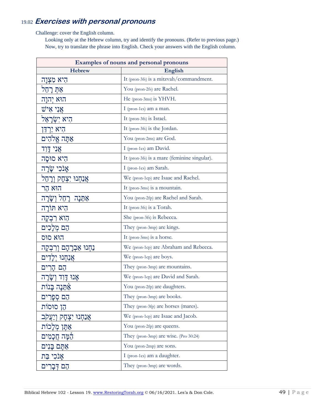## 19.02 **Exercises with personal pronouns**

Challenge: cover the English column.

Looking only at the Hebrew column, try and identify the pronouns. (Refer to previous page.) Now, try to translate the phrase into English. Check your answers with the English column.

| Examples of nouns and personal pronouns |                                              |  |  |  |
|-----------------------------------------|----------------------------------------------|--|--|--|
| <b>Hebrew</b>                           | English                                      |  |  |  |
| הִיא מִצְוַה                            | It (pron-3fs) is a mitzvah/commandment.      |  |  |  |
| אַתְּ רָהֵל                             | You (pron-2fs) are Rachel.                   |  |  |  |
| הוא יהנה                                | He (pron-3ms) is YHVH.                       |  |  |  |
| אַנִי אִישׁ                             | I (pron-1cs) am a man.                       |  |  |  |
| הִיא יִשְׂרַאֵל                         | It (pron-3fs) is Israel.                     |  |  |  |
| הִיא יַרְדֵּן                           | It (pron-3fs) is the Jordan.                 |  |  |  |
| אַתַּה אֵלֹהִים                         | You (pron-2ms) are God.                      |  |  |  |
| אֲנִי דָּוִד                            | I (pron-1cs) am David.                       |  |  |  |
| היא סוּסַה                              | It (pron-3fs) is a mare (feminine singular). |  |  |  |
| אַנֹכִי שֲׂרַה                          | I (pron-1cs) am Sarah.                       |  |  |  |
| אֲנַחְנוּ יִצְחָק וְרָחֵל               | We (pron-1cp) are Isaac and Rachel.          |  |  |  |
| הוא הר                                  | It (pron-3ms) is a mountain.                 |  |  |  |
| ּאַתֵּנָה רָחֵל וְשָׂרָה                | You (pron-2fp) are Rachel and Sarah.         |  |  |  |
| היא תּוֹרָה                             | It (pron-3fs) is a Torah.                    |  |  |  |
| הִוא רִבְקָה                            | She (pron-3fs) is Rebecca.                   |  |  |  |
| הֵם מְלָכִים                            | They (pron-3mp) are kings.                   |  |  |  |
| הוא סוס                                 | It (pron-3ms) is a horse.                    |  |  |  |
| נַחִנוּ אַבְרָהָם וְרִבְקָה             | We (pron-1cp) are Abraham and Rebecca.       |  |  |  |
| אֲנַחְנוּ יְלָדִים                      | We (pron-1cp) are boys.                      |  |  |  |
| הם הרים                                 | They (pron-3mp) are mountains.               |  |  |  |
| אנוּ דַוְד וְשַׁרַה                     | We (pron-1cp) are David and Sarah.           |  |  |  |
| אַתֵּנָה בָּנוֹת                        | You (pron-2fp) are daughters.                |  |  |  |
| הֵם סִפָּרִים                           | They (pron-3mp) are books.                   |  |  |  |
| הֵן סוּסוֹת                             | They (pron-3fp) are horses (mares).          |  |  |  |
| <u>אַנ</u> חִנוּ יִצְחַק וְיַעֲקֹב      | We (pron-1cp) are Isaac and Jacob.           |  |  |  |
| אַתֵּן מִלְכוֹת                         | You (pron-2fp) are queens.                   |  |  |  |
| הֵמֵּה חֲכַמִים                         | They (pron-3mp) are wise. (Pro 30:24)        |  |  |  |
| אַתֵּם בַּנִים                          | You (pron-2mp) are sons.                     |  |  |  |
| אַנֹכִי בַּת                            | I (pron-1cs) am a daughter.                  |  |  |  |
| הֵם דִּבָרִים                           | They (pron-3mp) are words.                   |  |  |  |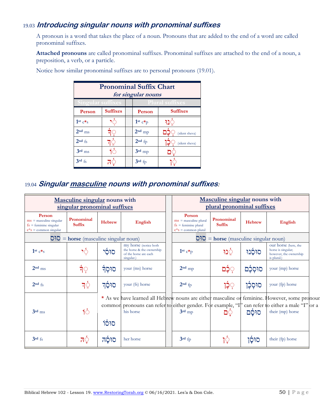## 19.03 **Introducing singular nouns with pronominal suffixes**

A pronoun is a word that takes the place of a noun. Pronouns that are added to the end of a word are called pronominal suffixes.

**Attached pronouns** are called pronominal suffixes. Pronominal suffixes are attached to the end of a noun, a preposition, a verb, or a particle.

| <b>Pronominal Suffix Chart</b><br>for singular nouns |                                                    |  |           |                 |  |  |  |  |
|------------------------------------------------------|----------------------------------------------------|--|-----------|-----------------|--|--|--|--|
|                                                      | <b>Singular suffixes</b><br><b>Plural suffixes</b> |  |           |                 |  |  |  |  |
| Person                                               | <b>Suffixes</b>                                    |  | Person    | <b>Suffixes</b> |  |  |  |  |
| 1st $c\ast_S$                                        |                                                    |  | $1st c*p$ | פנו             |  |  |  |  |
| $2nd$ ms                                             | न⊜                                                 |  | $2nd$ mp  | (silent sheva)  |  |  |  |  |
| $2nd$ fs                                             |                                                    |  | $2nd$ fp  | (silent sheva)  |  |  |  |  |
| $3rd$ <sub>ms</sub>                                  | Ю                                                  |  | $3rd$ mp  |                 |  |  |  |  |
| $3rd$ fs                                             |                                                    |  | 3rd fp    |                 |  |  |  |  |

Notice how similar pronominal suffixes are to personal pronouns (19.01).

## 19.04 **Singular masculine nouns with pronominal suffixes:**

| Masculine singular nouns with<br>singular pronominal suffixes                                           |                                         |               |                                                                                                                                                                                                                |  |                                                                                                   | Masculine singular nouns with<br>plural pronominal suffixes |           |                                                                                     |  |
|---------------------------------------------------------------------------------------------------------|-----------------------------------------|---------------|----------------------------------------------------------------------------------------------------------------------------------------------------------------------------------------------------------------|--|---------------------------------------------------------------------------------------------------|-------------------------------------------------------------|-----------|-------------------------------------------------------------------------------------|--|
| Person<br>$ms =$ masculine singular<br>$fs =$ feminine singular<br>$c$ <sup>*</sup> s = common singular | Pronominal<br><b>Suffix</b>             | <b>Hebrew</b> | <b>English</b>                                                                                                                                                                                                 |  | Person<br>$ms =$ masculine plural<br>$fs =$ feminine plural<br>$c$ <sup>*</sup> s = common plural | Pronominal<br><b>Suffix</b>                                 | Hebrew    | English                                                                             |  |
|                                                                                                         | $D1D$ = horse (masculine singular noun) |               |                                                                                                                                                                                                                |  |                                                                                                   | $O$ <sup>1</sup> $O =$ horse (masculine singular noun)      |           |                                                                                     |  |
| $1st c*s$                                                                                               | १ुँ                                     | סוּסִי        | my horse (notice both)<br>the horse & the ownership<br>of the horse are each<br>singular.)                                                                                                                     |  | $1st c*p$                                                                                         | া্য                                                         | סוּסֶנוּ  | our horse (here, the<br>horse is singular;<br>however, the ownership<br>is plural.) |  |
| $2nd$ ms                                                                                                | र्न <b>़</b>                            | র্টাচ         | your (ms) horse                                                                                                                                                                                                |  | $2nd$ mp                                                                                          | ְכֻּם                                                       | סוּסְכָּם | your (mp) horse                                                                     |  |
| $2nd$ fs                                                                                                | त्∫े                                    | סוּסֵך        | your (fs) horse                                                                                                                                                                                                |  | $2nd$ fp                                                                                          | ְיָכֶן                                                      | סוּסְכֶן  | your (fp) horse                                                                     |  |
| $3rd$ ms                                                                                                | 16                                      | סוּסֿוֹ       | * As we have learned all Hebrew nouns are either masculine or feminine. However, some pronour<br>common pronouns can refer to either gender. For example, "I" can refer to either a male "I" or a<br>his horse |  | $3rd$ mp                                                                                          | ַם                                                          | סוּסֹם    | their (mp) horse                                                                    |  |
| $3rd$ fs                                                                                                | त्∂                                     | סוּסַה        | her horse                                                                                                                                                                                                      |  | $3rd$ fp                                                                                          | $\big \hat{\mathbb{Q}}\big $                                | סוּסָן    | their (fp) horse                                                                    |  |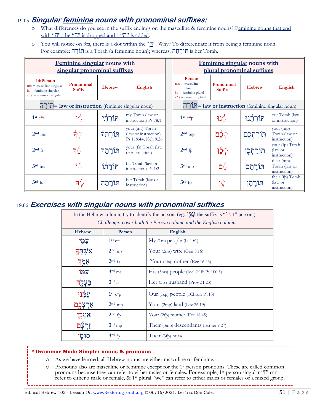### 19.05 **Singular feminine nouns with pronominal suffixes:**

- o What differences do you see in the suffix endings on the masculine & feminine nouns? Feminine nouns that end with " $\overline{h}$ ", the " $\overline{h}$ " is dropped and a " $\overline{h}$ " is added.
- o You will notice on 3fs, there is a dot within the " $\mathbb{Z}$ ". Why? To differentiate it from being a feminine noun. For example: ה ָורֹת is a Torah (a feminine noun); whereas, ה ָת ָורֹת is her Torah.

|                                                                                              | Feminine singular nouns with<br>singular pronominal suffixes |               |                                                                | Feminine singular nouns with<br>plural pronominal suffixes                                           |                                                  |               |                                                    |
|----------------------------------------------------------------------------------------------|--------------------------------------------------------------|---------------|----------------------------------------------------------------|------------------------------------------------------------------------------------------------------|--------------------------------------------------|---------------|----------------------------------------------------|
| bbPerson<br>$ms =$ masculine singular<br>$fs =$ feminine singular<br>$c*s = common singular$ | Pronominal<br><b>Suffix</b>                                  | <b>Hebrew</b> | <b>English</b>                                                 | Person<br>$ms = masculine$<br>plural<br>$fs =$ feminine plural<br>$c$ <sup>*</sup> s = common plural | Pronominal<br><b>Suffix</b>                      | <b>Hebrew</b> | <b>English</b>                                     |
|                                                                                              | $\Gamma$ תורה law or instruction (feminine singular noun)    |               |                                                                |                                                                                                      | הורה law or instruction (feminine singular noun) |               |                                                    |
| $1st c* s$                                                                                   | १े                                                           | תּוֹרַתִּי    | my Torah (law or<br>instruction) Ps 78:1                       | $1st c*p$                                                                                            | া⊇                                               | תּוֹרָתֶנוּ   | our Torah (law<br>or instruction)                  |
| $2nd$ ms                                                                                     | र्न <b>़</b>                                                 | ּתּוֹרָתְךָ   | your (ms) Torah<br>(law or instruction)<br>Ps 119:44; Neh 9:26 | $2nd$ mp                                                                                             | ְכְּם                                            | תּוֹרַתְכֶם   | your (mp)<br>Torah (law or<br>instruction)         |
| $2nd$ fs                                                                                     | गई                                                           | תּוֹרָתֵך     | your (fs) Torah (law<br>or instruction)                        | $2nd$ fp                                                                                             | ۭۮۭ <del>ۮ</del> ؚ                               | תּוֹרַתְכֶן   | your (fp) Torah<br>$\int$ (law or<br>instruction)  |
| $3rd$ <sub>ms</sub>                                                                          | १०                                                           | תּוֹרַתוֹ     | his Torah (law or<br>instruction) Ps 1:2                       | $3rd$ mp                                                                                             | פֿם                                              | תּוֹרָתָם     | their (mp)<br>Torah (law or<br>instruction)        |
| $3rd$ fs                                                                                     | 'ਨੋ                                                          | תורתה         | her Torah (law or<br>instruction)                              | $3rd$ fp                                                                                             | ੋਂ੍                                              | תּורָתָן      | their (fp) Torah<br>$\int$ (law or<br>instruction) |

## 19.06 **Exercises with singular nouns with pronominal suffixes**

| In the Hebrew column, try to identify the person. (eg. $\mathbb{Q}^{\bullet}$ ) the suffix is "". 1 <sup>st</sup> person.)<br>Challenge: cover both the Person column and the English column. |                        |                                                |  |  |  |  |
|-----------------------------------------------------------------------------------------------------------------------------------------------------------------------------------------------|------------------------|------------------------------------------------|--|--|--|--|
| <b>Hebrew</b>                                                                                                                                                                                 | Person                 | English                                        |  |  |  |  |
| עמֵי                                                                                                                                                                                          | $1st c*s$              | $My$ (1cs) people (Is 40:1)                    |  |  |  |  |
| אשתד                                                                                                                                                                                          | $2nd$ ms               | Your $(2ms)$ wife $(Gen 8:16)$                 |  |  |  |  |
| אמֵך                                                                                                                                                                                          | $2nd$ fs               | Your $(2fs)$ mother (Eze 16:45)                |  |  |  |  |
| עַמַו                                                                                                                                                                                         | $3rd$ ms               | His $(3ms)$ people $($ Joel 2:18; Ps 100:3 $)$ |  |  |  |  |
| פעל                                                                                                                                                                                           | $3rd$ fs               | Her $(3fs)$ husband (Prov 31:23)               |  |  |  |  |
| עמנו                                                                                                                                                                                          | $1st$ c <sup>*</sup> p | Our (1cp) people (1Chron 19:13)                |  |  |  |  |
| אַרְצְבֶם                                                                                                                                                                                     | $2nd$ mp               | Your $(2mp)$ land $(Lev 26:19)$                |  |  |  |  |
| אמְכֶן                                                                                                                                                                                        | $2nd$ fp               | Your $(2fp)$ mother (Eze 16:45)                |  |  |  |  |
| ֿעַם                                                                                                                                                                                          | $3rd$ mp               | Their $(3mp)$ descendants (Esther 9:27)        |  |  |  |  |
| סוּסַן                                                                                                                                                                                        | $3rd$ fp               | Their $(3fp)$ horse                            |  |  |  |  |

#### **\* Grammar Made Simple: nouns & pronouns**

- o As we have learned, all Hebrew nouns are either masculine or feminine.
- o Pronouns also are masculine or feminine except for the 1st person pronouns. These are called common pronouns because they can refer to either males or females. For example, 1st person singular "I" can refer to either a male or female, & 1<sup>st</sup> plural "we" can refer to either males or females or a mixed group.